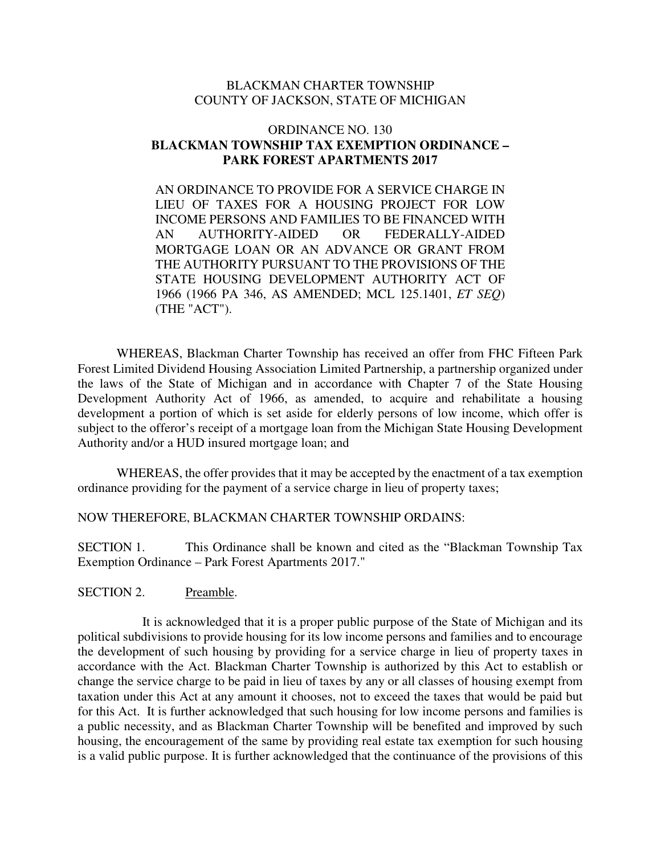#### BLACKMAN CHARTER TOWNSHIP COUNTY OF JACKSON, STATE OF MICHIGAN

#### ORDINANCE NO. 130 **BLACKMAN TOWNSHIP TAX EXEMPTION ORDINANCE – PARK FOREST APARTMENTS 2017**

AN ORDINANCE TO PROVIDE FOR A SERVICE CHARGE IN LIEU OF TAXES FOR A HOUSING PROJECT FOR LOW INCOME PERSONS AND FAMILIES TO BE FINANCED WITH AN AUTHORITY-AIDED OR FEDERALLY-AIDED MORTGAGE LOAN OR AN ADVANCE OR GRANT FROM THE AUTHORITY PURSUANT TO THE PROVISIONS OF THE STATE HOUSING DEVELOPMENT AUTHORITY ACT OF 1966 (1966 PA 346, AS AMENDED; MCL 125.1401, *ET SEQ*) (THE "ACT").

 WHEREAS, Blackman Charter Township has received an offer from FHC Fifteen Park Forest Limited Dividend Housing Association Limited Partnership, a partnership organized under the laws of the State of Michigan and in accordance with Chapter 7 of the State Housing Development Authority Act of 1966, as amended, to acquire and rehabilitate a housing development a portion of which is set aside for elderly persons of low income, which offer is subject to the offeror's receipt of a mortgage loan from the Michigan State Housing Development Authority and/or a HUD insured mortgage loan; and

 WHEREAS, the offer provides that it may be accepted by the enactment of a tax exemption ordinance providing for the payment of a service charge in lieu of property taxes;

#### NOW THEREFORE, BLACKMAN CHARTER TOWNSHIP ORDAINS:

SECTION 1. This Ordinance shall be known and cited as the "Blackman Township Tax Exemption Ordinance – Park Forest Apartments 2017."

#### SECTION 2. Preamble.

It is acknowledged that it is a proper public purpose of the State of Michigan and its political subdivisions to provide housing for its low income persons and families and to encourage the development of such housing by providing for a service charge in lieu of property taxes in accordance with the Act. Blackman Charter Township is authorized by this Act to establish or change the service charge to be paid in lieu of taxes by any or all classes of housing exempt from taxation under this Act at any amount it chooses, not to exceed the taxes that would be paid but for this Act. It is further acknowledged that such housing for low income persons and families is a public necessity, and as Blackman Charter Township will be benefited and improved by such housing, the encouragement of the same by providing real estate tax exemption for such housing is a valid public purpose. It is further acknowledged that the continuance of the provisions of this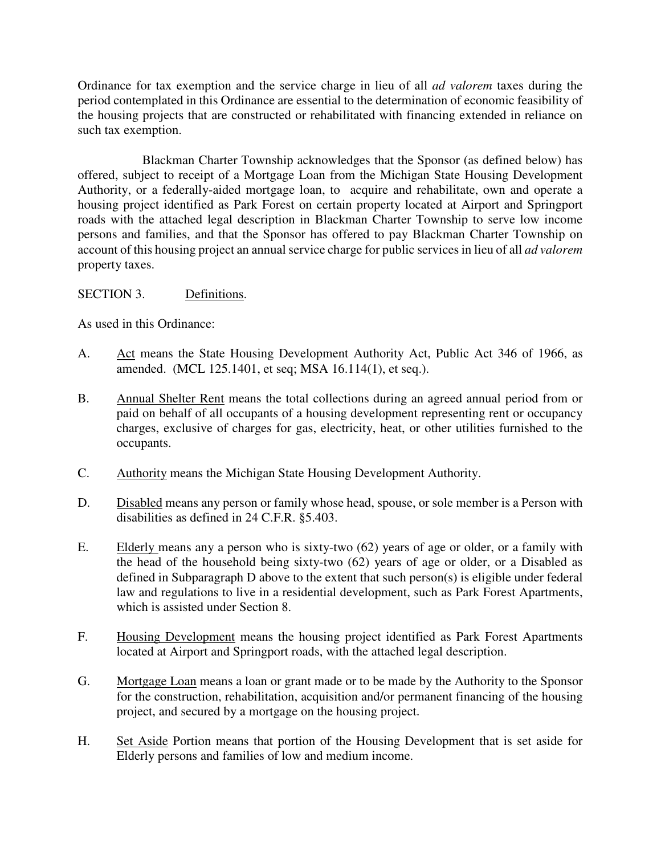Ordinance for tax exemption and the service charge in lieu of all *ad valorem* taxes during the period contemplated in this Ordinance are essential to the determination of economic feasibility of the housing projects that are constructed or rehabilitated with financing extended in reliance on such tax exemption.

Blackman Charter Township acknowledges that the Sponsor (as defined below) has offered, subject to receipt of a Mortgage Loan from the Michigan State Housing Development Authority, or a federally-aided mortgage loan, to acquire and rehabilitate, own and operate a housing project identified as Park Forest on certain property located at Airport and Springport roads with the attached legal description in Blackman Charter Township to serve low income persons and families, and that the Sponsor has offered to pay Blackman Charter Township on account of this housing project an annual service charge for public services in lieu of all *ad valorem* property taxes.

# SECTION 3. Definitions.

As used in this Ordinance:

- A. Act means the State Housing Development Authority Act, Public Act 346 of 1966, as amended. (MCL 125.1401, et seq; MSA 16.114(1), et seq.).
- B. Annual Shelter Rent means the total collections during an agreed annual period from or paid on behalf of all occupants of a housing development representing rent or occupancy charges, exclusive of charges for gas, electricity, heat, or other utilities furnished to the occupants.
- C. Authority means the Michigan State Housing Development Authority.
- D. Disabled means any person or family whose head, spouse, or sole member is a Person with disabilities as defined in 24 C.F.R. §5.403.
- E. Elderly means any a person who is sixty-two (62) years of age or older, or a family with the head of the household being sixty-two (62) years of age or older, or a Disabled as defined in Subparagraph D above to the extent that such person(s) is eligible under federal law and regulations to live in a residential development, such as Park Forest Apartments, which is assisted under Section 8.
- F. Housing Development means the housing project identified as Park Forest Apartments located at Airport and Springport roads, with the attached legal description.
- G. Mortgage Loan means a loan or grant made or to be made by the Authority to the Sponsor for the construction, rehabilitation, acquisition and/or permanent financing of the housing project, and secured by a mortgage on the housing project.
- H. Set Aside Portion means that portion of the Housing Development that is set aside for Elderly persons and families of low and medium income.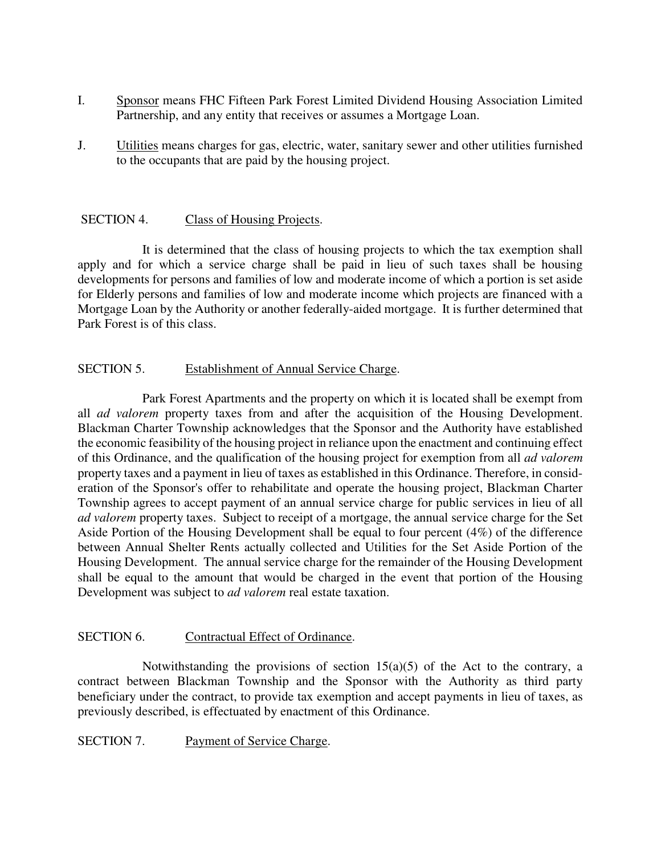- I. Sponsor means FHC Fifteen Park Forest Limited Dividend Housing Association Limited Partnership, and any entity that receives or assumes a Mortgage Loan.
- J. Utilities means charges for gas, electric, water, sanitary sewer and other utilities furnished to the occupants that are paid by the housing project.

## SECTION 4. Class of Housing Projects.

It is determined that the class of housing projects to which the tax exemption shall apply and for which a service charge shall be paid in lieu of such taxes shall be housing developments for persons and families of low and moderate income of which a portion is set aside for Elderly persons and families of low and moderate income which projects are financed with a Mortgage Loan by the Authority or another federally-aided mortgage. It is further determined that Park Forest is of this class.

## SECTION 5. Establishment of Annual Service Charge.

Park Forest Apartments and the property on which it is located shall be exempt from all *ad valorem* property taxes from and after the acquisition of the Housing Development. Blackman Charter Township acknowledges that the Sponsor and the Authority have established the economic feasibility of the housing project in reliance upon the enactment and continuing effect of this Ordinance, and the qualification of the housing project for exemption from all *ad valorem* property taxes and a payment in lieu of taxes as established in this Ordinance. Therefore, in consideration of the Sponsor's offer to rehabilitate and operate the housing project, Blackman Charter Township agrees to accept payment of an annual service charge for public services in lieu of all *ad valorem* property taxes. Subject to receipt of a mortgage, the annual service charge for the Set Aside Portion of the Housing Development shall be equal to four percent (4%) of the difference between Annual Shelter Rents actually collected and Utilities for the Set Aside Portion of the Housing Development. The annual service charge for the remainder of the Housing Development shall be equal to the amount that would be charged in the event that portion of the Housing Development was subject to *ad valorem* real estate taxation.

### SECTION 6. Contractual Effect of Ordinance.

Notwithstanding the provisions of section  $15(a)(5)$  of the Act to the contrary, a contract between Blackman Township and the Sponsor with the Authority as third party beneficiary under the contract, to provide tax exemption and accept payments in lieu of taxes, as previously described, is effectuated by enactment of this Ordinance.

SECTION 7. Payment of Service Charge.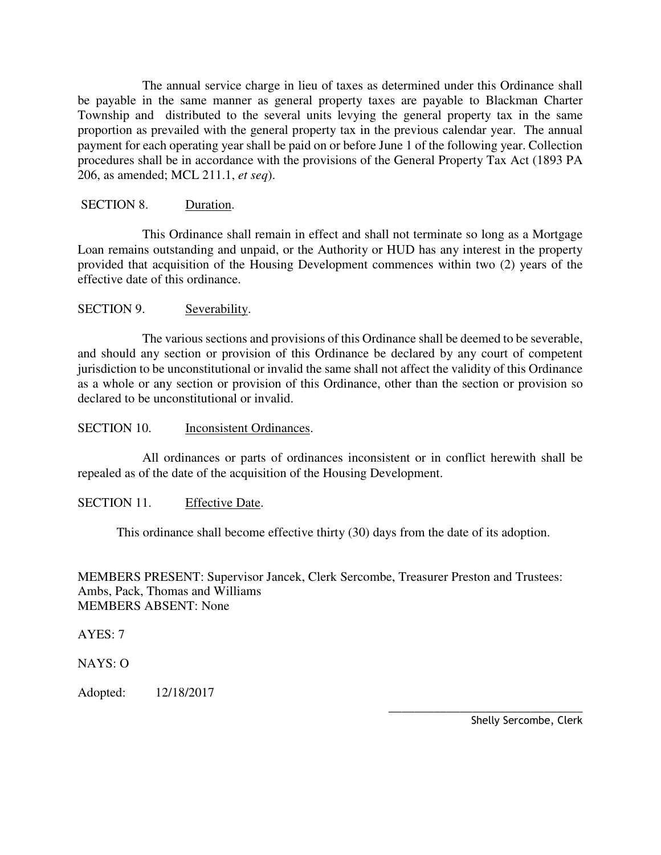The annual service charge in lieu of taxes as determined under this Ordinance shall be payable in the same manner as general property taxes are payable to Blackman Charter Township and distributed to the several units levying the general property tax in the same proportion as prevailed with the general property tax in the previous calendar year. The annual payment for each operating year shall be paid on or before June 1 of the following year. Collection procedures shall be in accordance with the provisions of the General Property Tax Act (1893 PA 206, as amended; MCL 211.1, *et seq*).

### SECTION 8. Duration.

This Ordinance shall remain in effect and shall not terminate so long as a Mortgage Loan remains outstanding and unpaid, or the Authority or HUD has any interest in the property provided that acquisition of the Housing Development commences within two (2) years of the effective date of this ordinance.

# SECTION 9. Severability.

The various sections and provisions of this Ordinance shall be deemed to be severable, and should any section or provision of this Ordinance be declared by any court of competent jurisdiction to be unconstitutional or invalid the same shall not affect the validity of this Ordinance as a whole or any section or provision of this Ordinance, other than the section or provision so declared to be unconstitutional or invalid.

## SECTION 10. Inconsistent Ordinances.

All ordinances or parts of ordinances inconsistent or in conflict herewith shall be repealed as of the date of the acquisition of the Housing Development.

### SECTION 11. Effective Date.

This ordinance shall become effective thirty (30) days from the date of its adoption.

MEMBERS PRESENT: Supervisor Jancek, Clerk Sercombe, Treasurer Preston and Trustees: Ambs, Pack, Thomas and Williams MEMBERS ABSENT: None

AYES: 7

NAYS: O

Adopted: 12/18/2017

 $\overline{\phantom{a}}$  , and the contract of the contract of the contract of the contract of the contract of the contract of the contract of the contract of the contract of the contract of the contract of the contract of the contrac Shelly Sercombe, Clerk